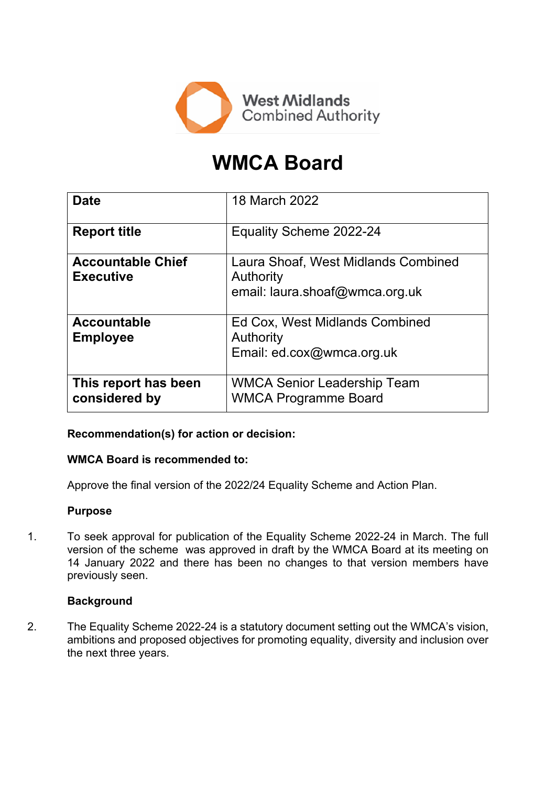

# **WMCA Board**

| <b>Date</b>                                  | 18 March 2022                                                                      |
|----------------------------------------------|------------------------------------------------------------------------------------|
| <b>Report title</b>                          | Equality Scheme 2022-24                                                            |
| <b>Accountable Chief</b><br><b>Executive</b> | Laura Shoaf, West Midlands Combined<br>Authority<br>email: laura.shoaf@wmca.org.uk |
| <b>Accountable</b><br><b>Employee</b>        | Ed Cox, West Midlands Combined<br>Authority<br>Email: ed.cox@wmca.org.uk           |
| This report has been<br>considered by        | <b>WMCA Senior Leadership Team</b><br><b>WMCA Programme Board</b>                  |

## **Recommendation(s) for action or decision:**

### **WMCA Board is recommended to:**

Approve the final version of the 2022/24 Equality Scheme and Action Plan.

#### **Purpose**

1. To seek approval for publication of the Equality Scheme 2022-24 in March. The full version of the scheme was approved in draft by the WMCA Board at its meeting on 14 January 2022 and there has been no changes to that version members have previously seen.

### **Background**

2. The Equality Scheme 2022-24 is a statutory document setting out the WMCA's vision, ambitions and proposed objectives for promoting equality, diversity and inclusion over the next three years.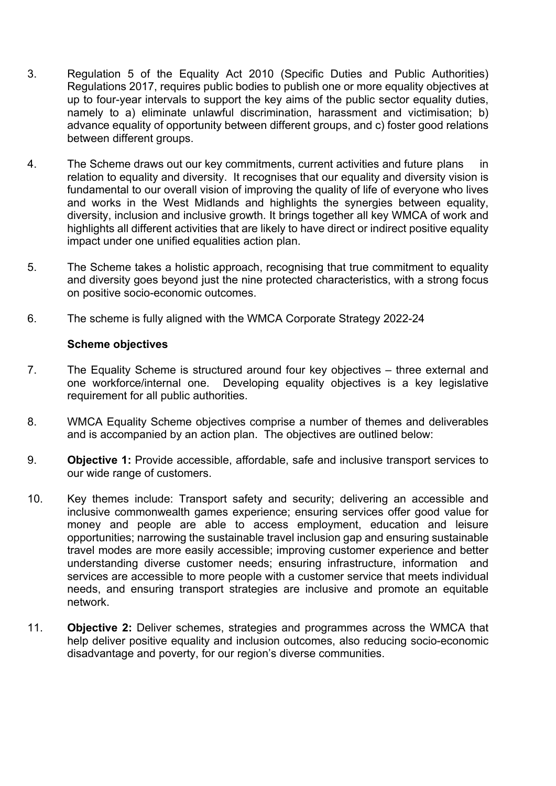- 3. Regulation 5 of the Equality Act 2010 (Specific Duties and Public Authorities) Regulations 2017, requires public bodies to publish one or more equality objectives at up to four-year intervals to support the key aims of the public sector equality duties, namely to a) eliminate unlawful discrimination, harassment and victimisation; b) advance equality of opportunity between different groups, and c) foster good relations between different groups.
- 4. The Scheme draws out our key commitments, current activities and future plans in relation to equality and diversity. It recognises that our equality and diversity vision is fundamental to our overall vision of improving the quality of life of everyone who lives and works in the West Midlands and highlights the synergies between equality, diversity, inclusion and inclusive growth. It brings together all key WMCA of work and highlights all different activities that are likely to have direct or indirect positive equality impact under one unified equalities action plan.
- 5. The Scheme takes a holistic approach, recognising that true commitment to equality and diversity goes beyond just the nine protected characteristics, with a strong focus on positive socio-economic outcomes.
- 6. The scheme is fully aligned with the WMCA Corporate Strategy 2022-24

#### **Scheme objectives**

- 7. The Equality Scheme is structured around four key objectives three external and one workforce/internal one. Developing equality objectives is a key legislative requirement for all public authorities.
- 8. WMCA Equality Scheme objectives comprise a number of themes and deliverables and is accompanied by an action plan. The objectives are outlined below:
- 9. **Objective 1:** Provide accessible, affordable, safe and inclusive transport services to our wide range of customers.
- 10. Key themes include: Transport safety and security; delivering an accessible and inclusive commonwealth games experience; ensuring services offer good value for money and people are able to access employment, education and leisure opportunities; narrowing the sustainable travel inclusion gap and ensuring sustainable travel modes are more easily accessible; improving customer experience and better understanding diverse customer needs; ensuring infrastructure, information and services are accessible to more people with a customer service that meets individual needs, and ensuring transport strategies are inclusive and promote an equitable network.
- 11. **Objective 2:** Deliver schemes, strategies and programmes across the WMCA that help deliver positive equality and inclusion outcomes, also reducing socio-economic disadvantage and poverty, for our region's diverse communities.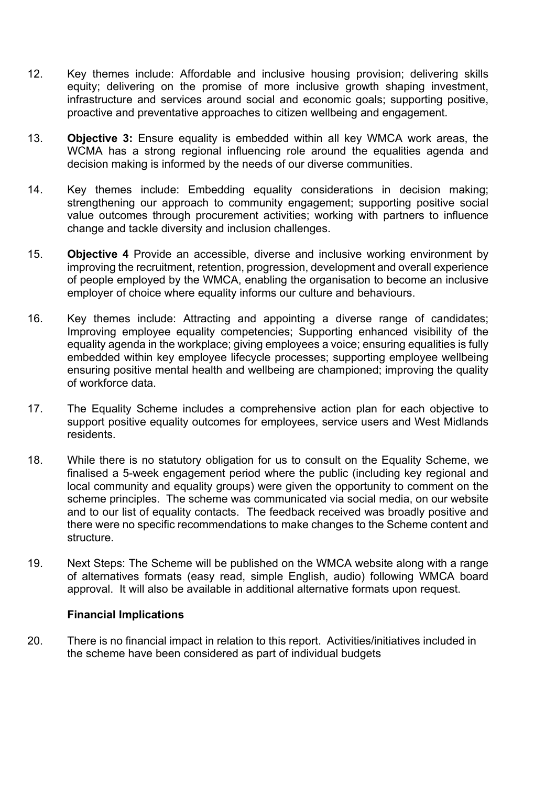- 12. Key themes include: Affordable and inclusive housing provision; delivering skills equity; delivering on the promise of more inclusive growth shaping investment, infrastructure and services around social and economic goals; supporting positive, proactive and preventative approaches to citizen wellbeing and engagement.
- 13. **Objective 3:** Ensure equality is embedded within all key WMCA work areas, the WCMA has a strong regional influencing role around the equalities agenda and decision making is informed by the needs of our diverse communities.
- 14. Key themes include: Embedding equality considerations in decision making; strengthening our approach to community engagement; supporting positive social value outcomes through procurement activities; working with partners to influence change and tackle diversity and inclusion challenges.
- 15. **Objective 4** Provide an accessible, diverse and inclusive working environment by improving the recruitment, retention, progression, development and overall experience of people employed by the WMCA, enabling the organisation to become an inclusive employer of choice where equality informs our culture and behaviours.
- 16. Key themes include: Attracting and appointing a diverse range of candidates; Improving employee equality competencies; Supporting enhanced visibility of the equality agenda in the workplace; giving employees a voice; ensuring equalities is fully embedded within key employee lifecycle processes; supporting employee wellbeing ensuring positive mental health and wellbeing are championed; improving the quality of workforce data.
- 17. The Equality Scheme includes a comprehensive action plan for each objective to support positive equality outcomes for employees, service users and West Midlands residents.
- 18. While there is no statutory obligation for us to consult on the Equality Scheme, we finalised a 5-week engagement period where the public (including key regional and local community and equality groups) were given the opportunity to comment on the scheme principles. The scheme was communicated via social media, on our website and to our list of equality contacts. The feedback received was broadly positive and there were no specific recommendations to make changes to the Scheme content and structure.
- 19. Next Steps: The Scheme will be published on the WMCA website along with a range of alternatives formats (easy read, simple English, audio) following WMCA board approval. It will also be available in additional alternative formats upon request.

### **Financial Implications**

20. There is no financial impact in relation to this report. Activities/initiatives included in the scheme have been considered as part of individual budgets